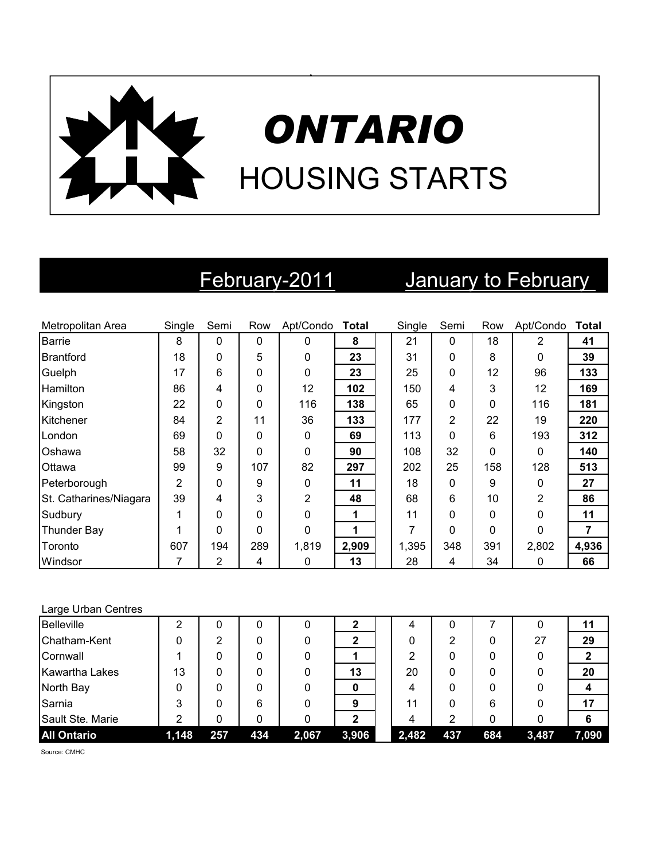

# February-2011 January to February

| Metropolitan Area      | Single         | Semi           | Row | Apt/Condo Total |       | Single | Semi           | Row      | Apt/Condo    | <b>Total</b> |
|------------------------|----------------|----------------|-----|-----------------|-------|--------|----------------|----------|--------------|--------------|
| Barrie                 | 8              | 0              | 0   | $\Omega$        | 8     | 21     | $\mathbf{0}$   | 18       | 2            | 41           |
| <b>Brantford</b>       | 18             | 0              | 5   | $\Omega$        | 23    | 31     | 0              | 8        | 0            | 39           |
| Guelph                 | 17             | 6              | 0   | $\Omega$        | 23    | 25     | 0              | 12       | 96           | 133          |
| <b>Hamilton</b>        | 86             | 4              | 0   | 12              | 102   | 150    | 4              | 3        | 12           | 169          |
| Kingston               | 22             | 0              | 0   | 116             | 138   | 65     | $\mathbf 0$    | 0        | 116          | 181          |
| Kitchener              | 84             | $\overline{2}$ | 11  | 36              | 133   | 177    | $\overline{2}$ | 22       | 19           | 220          |
| London                 | 69             | 0              | 0   | $\Omega$        | 69    | 113    | $\mathbf{0}$   | 6        | 193          | 312          |
| Oshawa                 | 58             | 32             | 0   | $\Omega$        | 90    | 108    | 32             | 0        | $\mathbf{0}$ | 140          |
| Ottawa                 | 99             | 9              | 107 | 82              | 297   | 202    | 25             | 158      | 128          | 513          |
| Peterborough           | $\overline{2}$ | 0              | 9   | $\Omega$        | 11    | 18     | 0              | 9        | $\mathbf{0}$ | 27           |
| St. Catharines/Niagara | 39             | 4              | 3   | 2               | 48    | 68     | 6              | 10       | 2            | 86           |
| Sudbury                | 1              | 0              | 0   | $\Omega$        | 1     | 11     | $\mathbf{0}$   | $\Omega$ | $\Omega$     | 11           |
| <b>Thunder Bay</b>     |                | 0              | 0   | $\Omega$        | 1     | 7      | $\mathbf{0}$   | $\Omega$ | $\Omega$     | 7            |
| Toronto                | 607            | 194            | 289 | 1,819           | 2,909 | 1,395  | 348            | 391      | 2,802        | 4,936        |
| Windsor                | 7              | 2              | 4   | 0               | 13    | 28     | 4              | 34       | 0            | 66           |

### Large Urban Centres

| <b>Belleville</b>     |       |     |     |       |       | 4     | 0        |     |       |       |
|-----------------------|-------|-----|-----|-------|-------|-------|----------|-----|-------|-------|
| Chatham-Kent          |       | っ   |     |       |       |       | 2        | 0   | 27    | 29    |
| Cornwall              |       |     |     |       |       | າ     | 0        | 0   |       |       |
| <b>Kawartha Lakes</b> | 13    |     |     |       | 13    | 20    | $\Omega$ | 0   |       | 20    |
| North Bay             | O     |     |     |       |       | 4     | $\Omega$ | 0   |       |       |
| Sarnia                | 3     |     | 6   |       | 9     | 11    | 0        | 6   |       | 17    |
| Sault Ste. Marie      | າ     |     |     |       | ŋ     | 4     | っ        | 0   |       |       |
| <b>All Ontario</b>    | 1,148 | 257 | 434 | 2,067 | 3,906 | 2,482 | 437      | 684 | 3,487 | 7,090 |

Source: CMHC